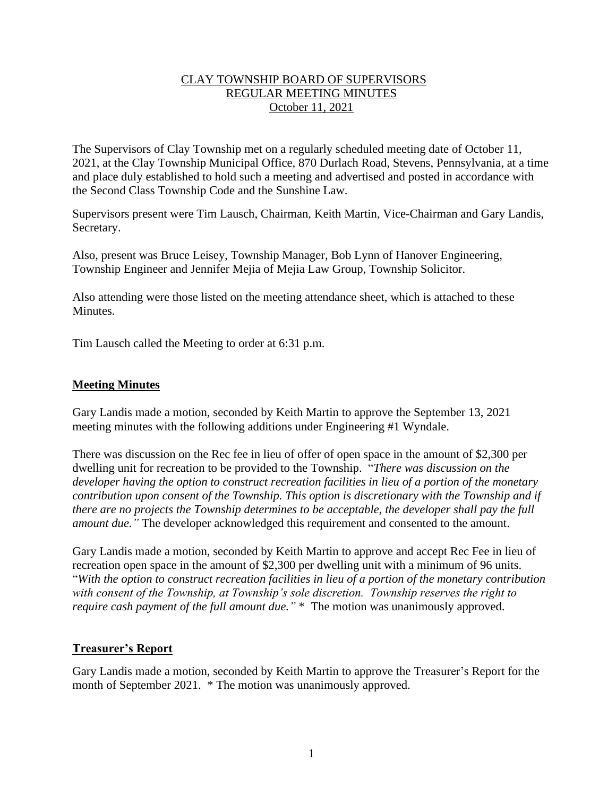## CLAY TOWNSHIP BOARD OF SUPERVISORS REGULAR MEETING MINUTES October 11, 2021

The Supervisors of Clay Township met on a regularly scheduled meeting date of October 11, 2021, at the Clay Township Municipal Office, 870 Durlach Road, Stevens, Pennsylvania, at a time and place duly established to hold such a meeting and advertised and posted in accordance with the Second Class Township Code and the Sunshine Law.

Supervisors present were Tim Lausch, Chairman, Keith Martin, Vice-Chairman and Gary Landis, Secretary.

Also, present was Bruce Leisey, Township Manager, Bob Lynn of Hanover Engineering, Township Engineer and Jennifer Mejia of Mejia Law Group, Township Solicitor.

Also attending were those listed on the meeting attendance sheet, which is attached to these Minutes.

Tim Lausch called the Meeting to order at 6:31 p.m.

### **Meeting Minutes**

Gary Landis made a motion, seconded by Keith Martin to approve the September 13, 2021 meeting minutes with the following additions under Engineering #1 Wyndale.

There was discussion on the Rec fee in lieu of offer of open space in the amount of \$2,300 per dwelling unit for recreation to be provided to the Township. "*There was discussion on the developer having the option to construct recreation facilities in lieu of a portion of the monetary contribution upon consent of the Township. This option is discretionary with the Township and if there are no projects the Township determines to be acceptable, the developer shall pay the full amount due."* The developer acknowledged this requirement and consented to the amount.

Gary Landis made a motion, seconded by Keith Martin to approve and accept Rec Fee in lieu of recreation open space in the amount of \$2,300 per dwelling unit with a minimum of 96 units. "*With the option to construct recreation facilities in lieu of a portion of the monetary contribution with consent of the Township, at Township's sole discretion. Township reserves the right to require cash payment of the full amount due.*" \* The motion was unanimously approved.

### **Treasurer's Report**

Gary Landis made a motion, seconded by Keith Martin to approve the Treasurer's Report for the month of September 2021. \* The motion was unanimously approved.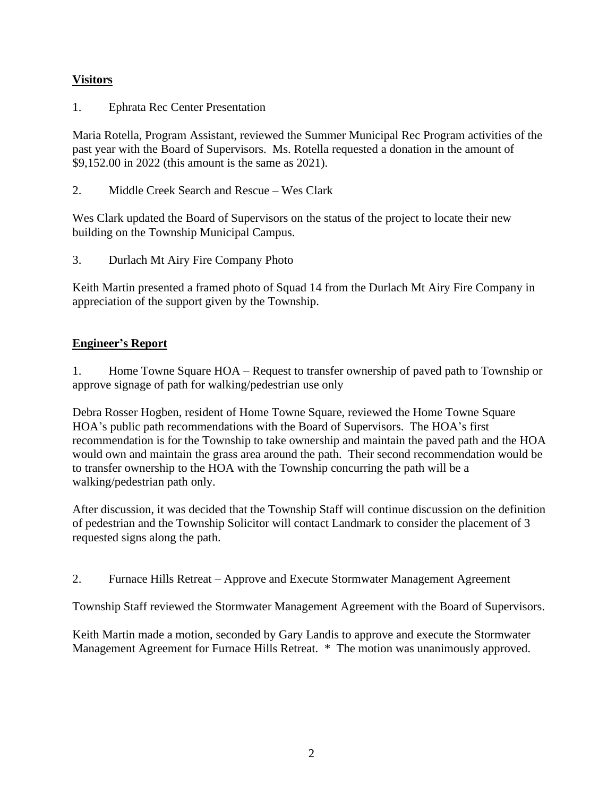# **Visitors**

1. Ephrata Rec Center Presentation

Maria Rotella, Program Assistant, reviewed the Summer Municipal Rec Program activities of the past year with the Board of Supervisors. Ms. Rotella requested a donation in the amount of \$9,152.00 in 2022 (this amount is the same as 2021).

2. Middle Creek Search and Rescue – Wes Clark

Wes Clark updated the Board of Supervisors on the status of the project to locate their new building on the Township Municipal Campus.

3. Durlach Mt Airy Fire Company Photo

Keith Martin presented a framed photo of Squad 14 from the Durlach Mt Airy Fire Company in appreciation of the support given by the Township.

## **Engineer's Report**

1. Home Towne Square HOA – Request to transfer ownership of paved path to Township or approve signage of path for walking/pedestrian use only

Debra Rosser Hogben, resident of Home Towne Square, reviewed the Home Towne Square HOA's public path recommendations with the Board of Supervisors. The HOA's first recommendation is for the Township to take ownership and maintain the paved path and the HOA would own and maintain the grass area around the path. Their second recommendation would be to transfer ownership to the HOA with the Township concurring the path will be a walking/pedestrian path only.

After discussion, it was decided that the Township Staff will continue discussion on the definition of pedestrian and the Township Solicitor will contact Landmark to consider the placement of 3 requested signs along the path.

2. Furnace Hills Retreat – Approve and Execute Stormwater Management Agreement

Township Staff reviewed the Stormwater Management Agreement with the Board of Supervisors.

Keith Martin made a motion, seconded by Gary Landis to approve and execute the Stormwater Management Agreement for Furnace Hills Retreat. \* The motion was unanimously approved.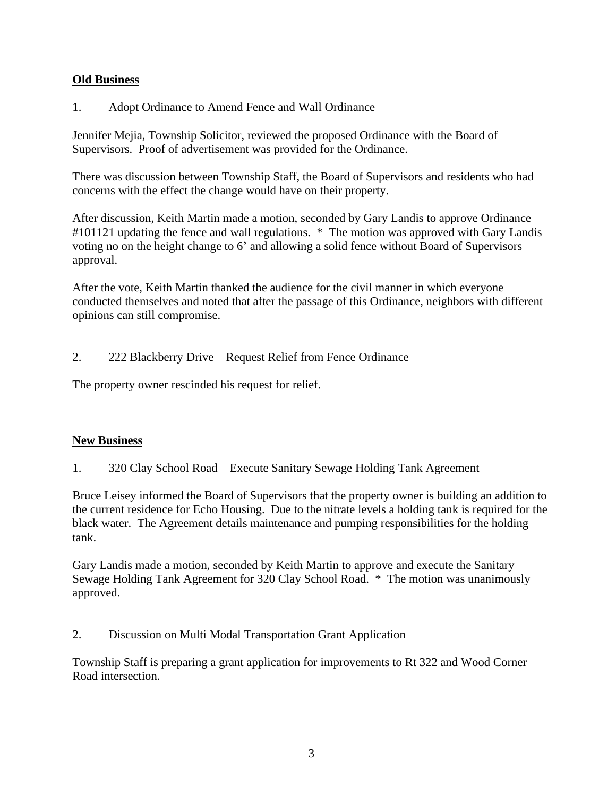## **Old Business**

## 1. Adopt Ordinance to Amend Fence and Wall Ordinance

Jennifer Mejia, Township Solicitor, reviewed the proposed Ordinance with the Board of Supervisors. Proof of advertisement was provided for the Ordinance.

There was discussion between Township Staff, the Board of Supervisors and residents who had concerns with the effect the change would have on their property.

After discussion, Keith Martin made a motion, seconded by Gary Landis to approve Ordinance #101121 updating the fence and wall regulations. \* The motion was approved with Gary Landis voting no on the height change to 6' and allowing a solid fence without Board of Supervisors approval.

After the vote, Keith Martin thanked the audience for the civil manner in which everyone conducted themselves and noted that after the passage of this Ordinance, neighbors with different opinions can still compromise.

2. 222 Blackberry Drive – Request Relief from Fence Ordinance

The property owner rescinded his request for relief.

## **New Business**

1. 320 Clay School Road – Execute Sanitary Sewage Holding Tank Agreement

Bruce Leisey informed the Board of Supervisors that the property owner is building an addition to the current residence for Echo Housing. Due to the nitrate levels a holding tank is required for the black water. The Agreement details maintenance and pumping responsibilities for the holding tank.

Gary Landis made a motion, seconded by Keith Martin to approve and execute the Sanitary Sewage Holding Tank Agreement for 320 Clay School Road. \* The motion was unanimously approved.

2. Discussion on Multi Modal Transportation Grant Application

Township Staff is preparing a grant application for improvements to Rt 322 and Wood Corner Road intersection.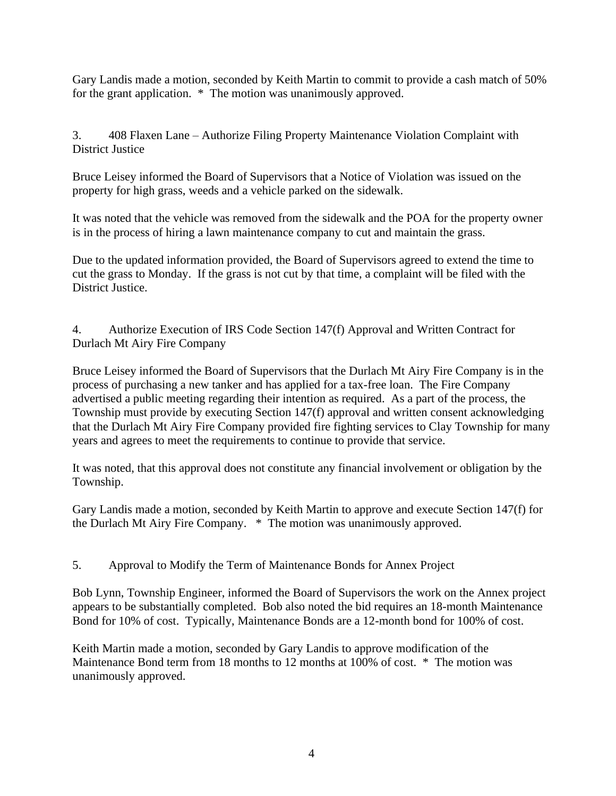Gary Landis made a motion, seconded by Keith Martin to commit to provide a cash match of 50% for the grant application. \* The motion was unanimously approved.

3. 408 Flaxen Lane – Authorize Filing Property Maintenance Violation Complaint with District Justice

Bruce Leisey informed the Board of Supervisors that a Notice of Violation was issued on the property for high grass, weeds and a vehicle parked on the sidewalk.

It was noted that the vehicle was removed from the sidewalk and the POA for the property owner is in the process of hiring a lawn maintenance company to cut and maintain the grass.

Due to the updated information provided, the Board of Supervisors agreed to extend the time to cut the grass to Monday. If the grass is not cut by that time, a complaint will be filed with the District Justice.

4. Authorize Execution of IRS Code Section 147(f) Approval and Written Contract for Durlach Mt Airy Fire Company

Bruce Leisey informed the Board of Supervisors that the Durlach Mt Airy Fire Company is in the process of purchasing a new tanker and has applied for a tax-free loan. The Fire Company advertised a public meeting regarding their intention as required. As a part of the process, the Township must provide by executing Section 147(f) approval and written consent acknowledging that the Durlach Mt Airy Fire Company provided fire fighting services to Clay Township for many years and agrees to meet the requirements to continue to provide that service.

It was noted, that this approval does not constitute any financial involvement or obligation by the Township.

Gary Landis made a motion, seconded by Keith Martin to approve and execute Section 147(f) for the Durlach Mt Airy Fire Company. \* The motion was unanimously approved.

5. Approval to Modify the Term of Maintenance Bonds for Annex Project

Bob Lynn, Township Engineer, informed the Board of Supervisors the work on the Annex project appears to be substantially completed. Bob also noted the bid requires an 18-month Maintenance Bond for 10% of cost. Typically, Maintenance Bonds are a 12-month bond for 100% of cost.

Keith Martin made a motion, seconded by Gary Landis to approve modification of the Maintenance Bond term from 18 months to 12 months at 100% of cost. \* The motion was unanimously approved.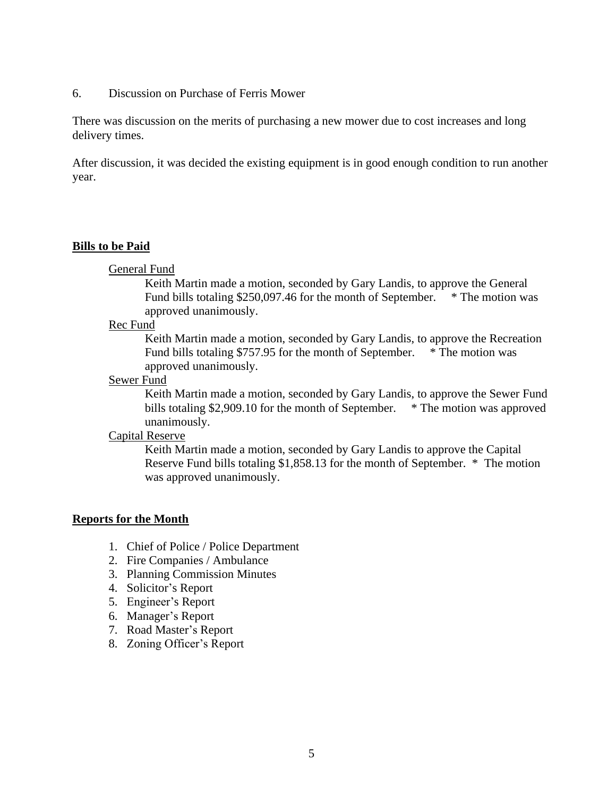#### 6. Discussion on Purchase of Ferris Mower

There was discussion on the merits of purchasing a new mower due to cost increases and long delivery times.

After discussion, it was decided the existing equipment is in good enough condition to run another year.

#### **Bills to be Paid**

#### General Fund

Keith Martin made a motion, seconded by Gary Landis, to approve the General Fund bills totaling  $$250,097.46$  for the month of September. \* The motion was approved unanimously.

#### Rec Fund

Keith Martin made a motion, seconded by Gary Landis, to approve the Recreation Fund bills totaling \$757.95 for the month of September. \* The motion was approved unanimously.

#### Sewer Fund

Keith Martin made a motion, seconded by Gary Landis, to approve the Sewer Fund bills totaling \$2,909.10 for the month of September. \* The motion was approved unanimously.

### Capital Reserve

Keith Martin made a motion, seconded by Gary Landis to approve the Capital Reserve Fund bills totaling \$1,858.13 for the month of September. \* The motion was approved unanimously.

### **Reports for the Month**

- 1. Chief of Police / Police Department
- 2. Fire Companies / Ambulance
- 3. Planning Commission Minutes
- 4. Solicitor's Report
- 5. Engineer's Report
- 6. Manager's Report
- 7. Road Master's Report
- 8. Zoning Officer's Report